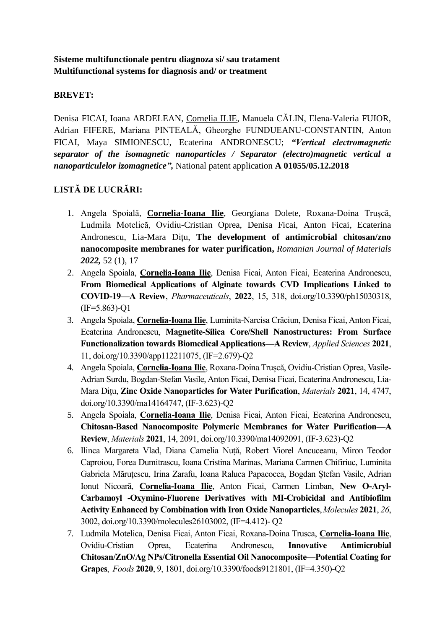## **Sisteme multifunctionale pentru diagnoza si/ sau tratament Multifunctional systems for diagnosis and/ or treatment**

## **BREVET:**

Denisa FICAI, Ioana ARDELEAN, Cornelia ILIE, Manuela CĂLIN, Elena-Valeria FUIOR, Adrian FIFERE, Mariana PINTEALĂ, Gheorghe FUNDUEANU-CONSTANTIN, Anton FICAI, Maya SIMIONESCU, Ecaterina ANDRONESCU; *"Vertical electromagnetic separator of the isomagnetic nanoparticles / Separator (electro)magnetic vertical a nanoparticulelor izomagnetice",* National patent application **A 01055/05.12.2018**

## **LISTĂ DE LUCRĂRI:**

- 1. Angela Spoială, **Cornelia-Ioana Ilie**, Georgiana Dolete, Roxana-Doina Trușcă, Ludmila Motelică, Ovidiu-Cristian Oprea, Denisa Ficai, Anton Ficai, Ecaterina Andronescu, Lia-Mara Dițu, **The development of antimicrobial chitosan/zno nanocomposite membranes for water purification,** *Romanian Journal of Materials 2022,* 52 (1), 17
- 2. Angela Spoiala, **Cornelia-Ioana Ilie**, Denisa Ficai, Anton Ficai, Ecaterina Andronescu, **From Biomedical Applications of Alginate towards CVD Implications Linked to COVID-19—A Review**, *Pharmaceuticals*, **2022**, 15, 318, doi.org/10.3390/ph15030318, (IF=5.863)-Q1
- 3. Angela Spoiala, **Cornelia-Ioana Ilie**, Luminita-Narcisa Crăciun, Denisa Ficai, Anton Ficai, Ecaterina Andronescu, **Magnetite-Silica Core/Shell Nanostructures: From Surface Functionalization towards Biomedical Applications—A Review**, *Applied Sciences* **2021**, 11, doi.org/10.3390/app112211075, (IF=2.679)-Q2
- 4. Angela Spoiala, **Cornelia-Ioana Ilie**, Roxana-Doina Trușcă, Ovidiu-Cristian Oprea, Vasile-Adrian Surdu, Bogdan-Stefan Vasile, Anton Ficai, Denisa Ficai, Ecaterina Andronescu, Lia-Mara Dițu, **Zinc Oxide Nanoparticles for Water Purification**, *Materials* **2021**, 14, 4747, doi.org/10.3390/ma14164747, (IF-3.623)-Q2
- 5. Angela Spoiala, **Cornelia-Ioana Ilie**, Denisa Ficai, Anton Ficai, Ecaterina Andronescu, **Chitosan-Based Nanocomposite Polymeric Membranes for Water Purification—A Review**, *Materials* **2021**, 14, 2091, doi.org/10.3390/ma14092091, (IF-3.623)-Q2
- 6. Ilinca Margareta Vlad, Diana Camelia Nuță, Robert Viorel Ancuceanu, Miron Teodor Caproiou, Forea Dumitrascu, Ioana Cristina Marinas, Mariana Carmen Chifiriuc, Luminita Gabriela Măruţescu, Irina Zarafu, Ioana Raluca Papacocea, Bogdan Ștefan Vasile, Adrian Ionut Nicoară, **Cornelia‐Ioana Ilie**, Anton Ficai, Carmen Limban, **New O‐Aryl‐ Carbamoyl ‐Oxymino‐Fluorene Derivatives with MI‐Crobicidal and Antibiofilm Activity Enhanced by Combination with Iron Oxide Nanoparticles**,*Molecules* **2021**, *26*, 3002, doi.org/10.3390/molecules26103002, (IF=4.412)- Q2
- 7. Ludmila Motelica, Denisa Ficai, Anton Ficai, Roxana-Doina Trusca, **Cornelia-Ioana Ilie**, Ovidiu-Cristian Oprea, Ecaterina Andronescu, **Innovative Antimicrobial Chitosan/ZnO/Ag NPs/Citronella Essential Oil Nanocomposite—Potential Coating for Grapes**, *Foods* **2020**, 9, 1801, doi.org/10.3390/foods9121801, (IF=4.350)-Q2